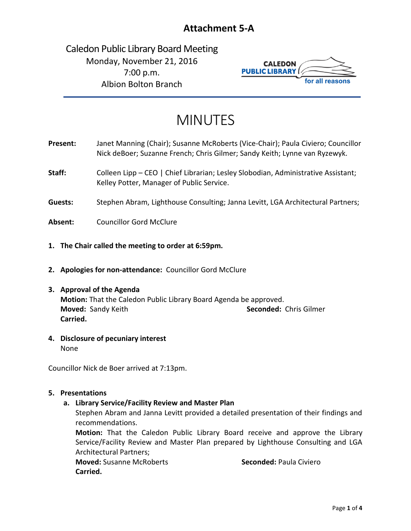# **Attachment 5-A**

Caledon Public Library Board Meeting Monday, November 21, 2016 7:00 p.m. Albion Bolton Branch



# MINUTES

- **Present:** Janet Manning (Chair); Susanne McRoberts (Vice-Chair); Paula Civiero; Councillor Nick deBoer; Suzanne French; Chris Gilmer; Sandy Keith; Lynne van Ryzewyk.
- Staff: Colleen Lipp CEO | Chief Librarian; Lesley Slobodian, Administrative Assistant; Kelley Potter, Manager of Public Service.
- **Guests:** Stephen Abram, Lighthouse Consulting; Janna Levitt, LGA Architectural Partners;
- **Absent:** Councillor Gord McClure
- **1. The Chair called the meeting to order at 6:59pm.**
- **2. Apologies for non-attendance:** Councillor Gord McClure

#### **3. Approval of the Agenda**

**Motion:** That the Caledon Public Library Board Agenda be approved. **Moved:** Sandy Keith **Seconded:** Chris Gilmer **Carried.**

**4. Disclosure of pecuniary interest** None

Councillor Nick de Boer arrived at 7:13pm.

#### **5. Presentations**

# **a. Library Service/Facility Review and Master Plan**

Stephen Abram and Janna Levitt provided a detailed presentation of their findings and recommendations.

**Motion:** That the Caledon Public Library Board receive and approve the Library Service/Facility Review and Master Plan prepared by Lighthouse Consulting and LGA Architectural Partners;

**Moved:** Susanne McRoberts **Seconded:** Paula Civiero **Carried.**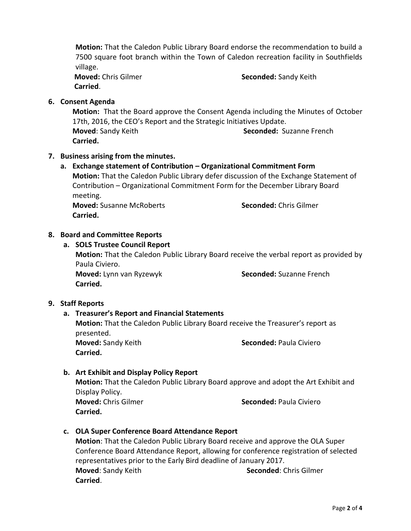**Motion:** That the Caledon Public Library Board endorse the recommendation to build a 7500 square foot branch within the Town of Caledon recreation facility in Southfields village.

**Carried**.

**Moved:** Chris Gilmer **Seconded:** Sandy Keith

**6. Consent Agenda**

**Motion:** That the Board approve the Consent Agenda including the Minutes of October 17th, 2016, the CEO's Report and the Strategic Initiatives Update. **Moved**: Sandy Keith **Seconded:** Suzanne French **Carried.**

# **7. Business arising from the minutes.**

**a. Exchange statement of Contribution – Organizational Commitment Form Motion:** That the Caledon Public Library defer discussion of the Exchange Statement of Contribution – Organizational Commitment Form for the December Library Board meeting.

**Moved:** Susanne McRoberts **Seconded:** Chris Gilmer **Carried.**

# **8. Board and Committee Reports**

# **a. SOLS Trustee Council Report**

**Motion:** That the Caledon Public Library Board receive the verbal report as provided by Paula Civiero. **Moved:** Lynn van Ryzewyk **Seconded:** Suzanne French **Carried.** 

#### **9. Staff Reports**

# **a. Treasurer's Report and Financial Statements**

**Motion:** That the Caledon Public Library Board receive the Treasurer's report as presented.

**Carried.**

**Moved:** Sandy Keith **Seconded:** Paula Civiero

# **b. Art Exhibit and Display Policy Report**

**Motion:** That the Caledon Public Library Board approve and adopt the Art Exhibit and Display Policy.

**Carried.** 

**Moved:** Chris Gilmer **Seconded:** Paula Civiero

# **c. OLA Super Conference Board Attendance Report**

**Motion**: That the Caledon Public Library Board receive and approve the OLA Super Conference Board Attendance Report, allowing for conference registration of selected representatives prior to the Early Bird deadline of January 2017. **Moved:** Sandy Keith **Seconded:** Chris Gilmer **Carried**.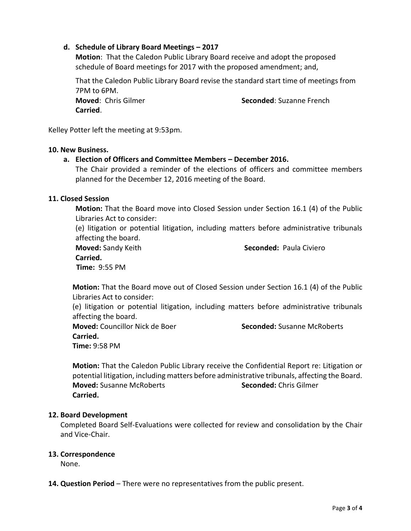# **d. Schedule of Library Board Meetings – 2017**

**Motion**: That the Caledon Public Library Board receive and adopt the proposed schedule of Board meetings for 2017 with the proposed amendment; and,

That the Caledon Public Library Board revise the standard start time of meetings from 7PM to 6PM.

**Carried**.

**Moved: Chris Gilmer <b>Seconded**: Suzanne French

Kelley Potter left the meeting at 9:53pm.

#### **10. New Business.**

**a. Election of Officers and Committee Members – December 2016.**

The Chair provided a reminder of the elections of officers and committee members planned for the December 12, 2016 meeting of the Board.

#### **11. Closed Session**

**Motion:** That the Board move into Closed Session under Section 16.1 (4) of the Public Libraries Act to consider:

(e) litigation or potential litigation, including matters before administrative tribunals affecting the board.

**Moved:** Sandy Keith **Seconded:** Paula Civiero

```
Carried.
```
 **Time:** 9:55 PM

**Motion:** That the Board move out of Closed Session under Section 16.1 (4) of the Public Libraries Act to consider:

(e) litigation or potential litigation, including matters before administrative tribunals affecting the board.

**Moved:** Councillor Nick de Boer **Seconded:** Susanne McRoberts **Carried. Time:** 9:58 PM

**Motion:** That the Caledon Public Library receive the Confidential Report re: Litigation or potential litigation, including matters before administrative tribunals, affecting the Board. **Moved:** Susanne McRoberts **Seconded:** Chris Gilmer **Carried.**

#### **12. Board Development**

Completed Board Self-Evaluations were collected for review and consolidation by the Chair and Vice-Chair.

# **13. Correspondence**

None.

**14. Question Period** – There were no representatives from the public present.